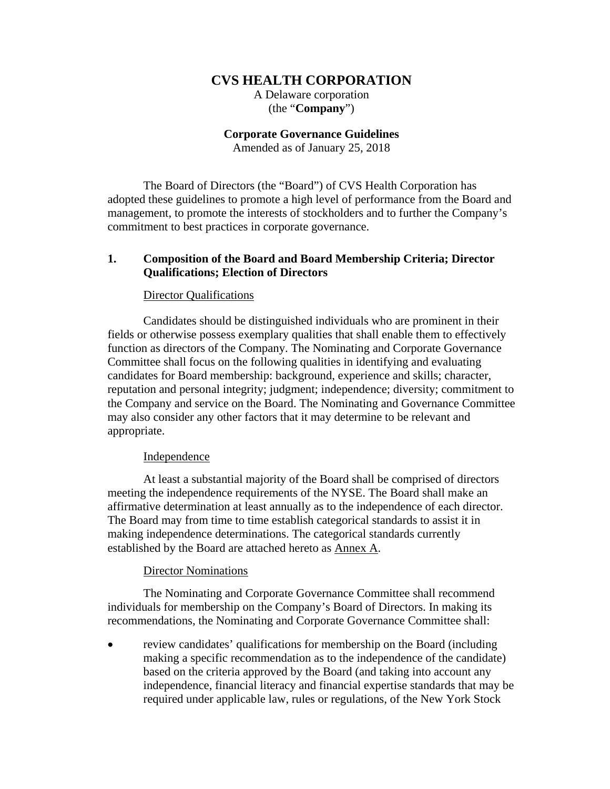# **CVS HEALTH CORPORATION**

A Delaware corporation (the "**Company**")

**Corporate Governance Guidelines** 

Amended as of January 25, 2018

The Board of Directors (the "Board") of CVS Health Corporation has adopted these guidelines to promote a high level of performance from the Board and management, to promote the interests of stockholders and to further the Company's commitment to best practices in corporate governance.

# **1. Composition of the Board and Board Membership Criteria; Director Qualifications; Election of Directors**

## Director Qualifications

Candidates should be distinguished individuals who are prominent in their fields or otherwise possess exemplary qualities that shall enable them to effectively function as directors of the Company. The Nominating and Corporate Governance Committee shall focus on the following qualities in identifying and evaluating candidates for Board membership: background, experience and skills; character, reputation and personal integrity; judgment; independence; diversity; commitment to the Company and service on the Board. The Nominating and Governance Committee may also consider any other factors that it may determine to be relevant and appropriate.

### Independence

At least a substantial majority of the Board shall be comprised of directors meeting the independence requirements of the NYSE. The Board shall make an affirmative determination at least annually as to the independence of each director. The Board may from time to time establish categorical standards to assist it in making independence determinations. The categorical standards currently established by the Board are attached hereto as Annex A.

## Director Nominations

The Nominating and Corporate Governance Committee shall recommend individuals for membership on the Company's Board of Directors. In making its recommendations, the Nominating and Corporate Governance Committee shall:

 review candidates' qualifications for membership on the Board (including making a specific recommendation as to the independence of the candidate) based on the criteria approved by the Board (and taking into account any independence, financial literacy and financial expertise standards that may be required under applicable law, rules or regulations, of the New York Stock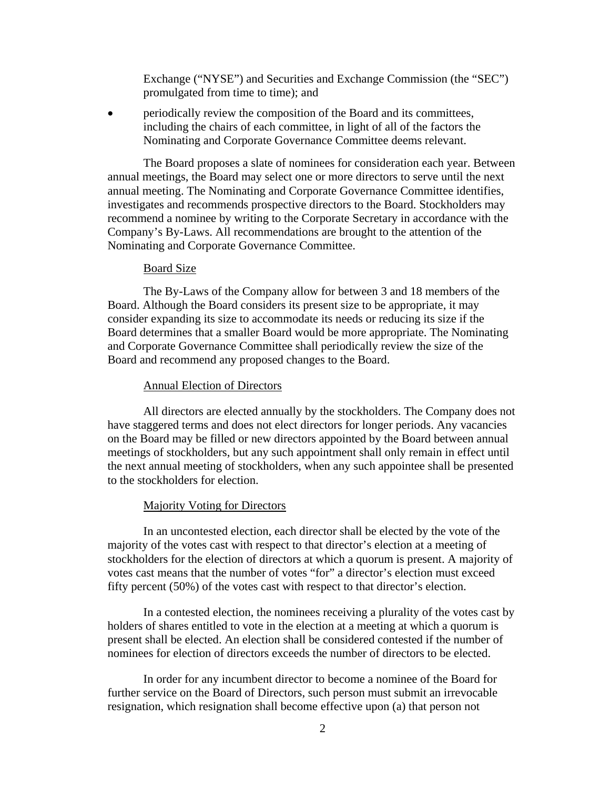Exchange ("NYSE") and Securities and Exchange Commission (the "SEC") promulgated from time to time); and

 periodically review the composition of the Board and its committees, including the chairs of each committee, in light of all of the factors the Nominating and Corporate Governance Committee deems relevant.

The Board proposes a slate of nominees for consideration each year. Between annual meetings, the Board may select one or more directors to serve until the next annual meeting. The Nominating and Corporate Governance Committee identifies, investigates and recommends prospective directors to the Board. Stockholders may recommend a nominee by writing to the Corporate Secretary in accordance with the Company's By-Laws. All recommendations are brought to the attention of the Nominating and Corporate Governance Committee.

#### Board Size

The By-Laws of the Company allow for between 3 and 18 members of the Board. Although the Board considers its present size to be appropriate, it may consider expanding its size to accommodate its needs or reducing its size if the Board determines that a smaller Board would be more appropriate. The Nominating and Corporate Governance Committee shall periodically review the size of the Board and recommend any proposed changes to the Board.

### Annual Election of Directors

All directors are elected annually by the stockholders. The Company does not have staggered terms and does not elect directors for longer periods. Any vacancies on the Board may be filled or new directors appointed by the Board between annual meetings of stockholders, but any such appointment shall only remain in effect until the next annual meeting of stockholders, when any such appointee shall be presented to the stockholders for election.

### Majority Voting for Directors

In an uncontested election, each director shall be elected by the vote of the majority of the votes cast with respect to that director's election at a meeting of stockholders for the election of directors at which a quorum is present. A majority of votes cast means that the number of votes "for" a director's election must exceed fifty percent (50%) of the votes cast with respect to that director's election.

In a contested election, the nominees receiving a plurality of the votes cast by holders of shares entitled to vote in the election at a meeting at which a quorum is present shall be elected. An election shall be considered contested if the number of nominees for election of directors exceeds the number of directors to be elected.

In order for any incumbent director to become a nominee of the Board for further service on the Board of Directors, such person must submit an irrevocable resignation, which resignation shall become effective upon (a) that person not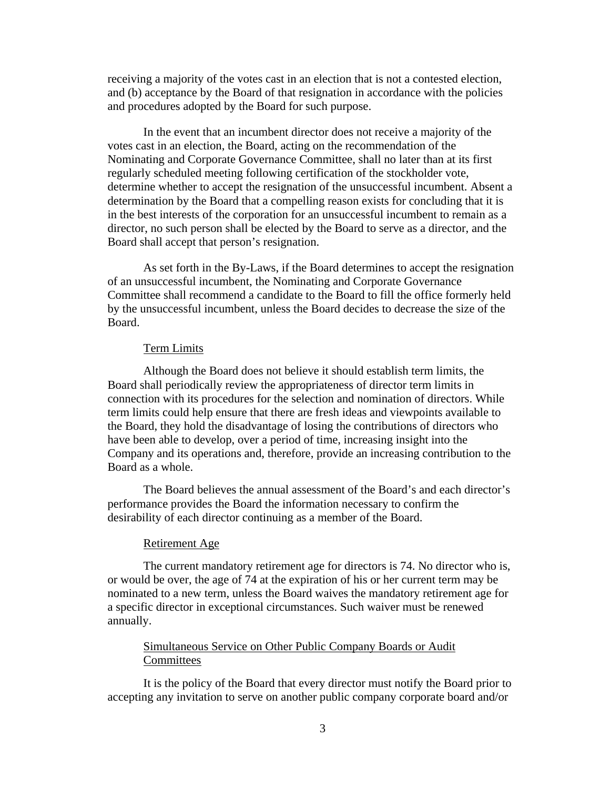receiving a majority of the votes cast in an election that is not a contested election, and (b) acceptance by the Board of that resignation in accordance with the policies and procedures adopted by the Board for such purpose.

In the event that an incumbent director does not receive a majority of the votes cast in an election, the Board, acting on the recommendation of the Nominating and Corporate Governance Committee, shall no later than at its first regularly scheduled meeting following certification of the stockholder vote, determine whether to accept the resignation of the unsuccessful incumbent. Absent a determination by the Board that a compelling reason exists for concluding that it is in the best interests of the corporation for an unsuccessful incumbent to remain as a director, no such person shall be elected by the Board to serve as a director, and the Board shall accept that person's resignation.

As set forth in the By-Laws, if the Board determines to accept the resignation of an unsuccessful incumbent, the Nominating and Corporate Governance Committee shall recommend a candidate to the Board to fill the office formerly held by the unsuccessful incumbent, unless the Board decides to decrease the size of the Board.

### Term Limits

Although the Board does not believe it should establish term limits, the Board shall periodically review the appropriateness of director term limits in connection with its procedures for the selection and nomination of directors. While term limits could help ensure that there are fresh ideas and viewpoints available to the Board, they hold the disadvantage of losing the contributions of directors who have been able to develop, over a period of time, increasing insight into the Company and its operations and, therefore, provide an increasing contribution to the Board as a whole.

The Board believes the annual assessment of the Board's and each director's performance provides the Board the information necessary to confirm the desirability of each director continuing as a member of the Board.

### Retirement Age

The current mandatory retirement age for directors is 74. No director who is, or would be over, the age of 74 at the expiration of his or her current term may be nominated to a new term, unless the Board waives the mandatory retirement age for a specific director in exceptional circumstances. Such waiver must be renewed annually.

# Simultaneous Service on Other Public Company Boards or Audit **Committees**

It is the policy of the Board that every director must notify the Board prior to accepting any invitation to serve on another public company corporate board and/or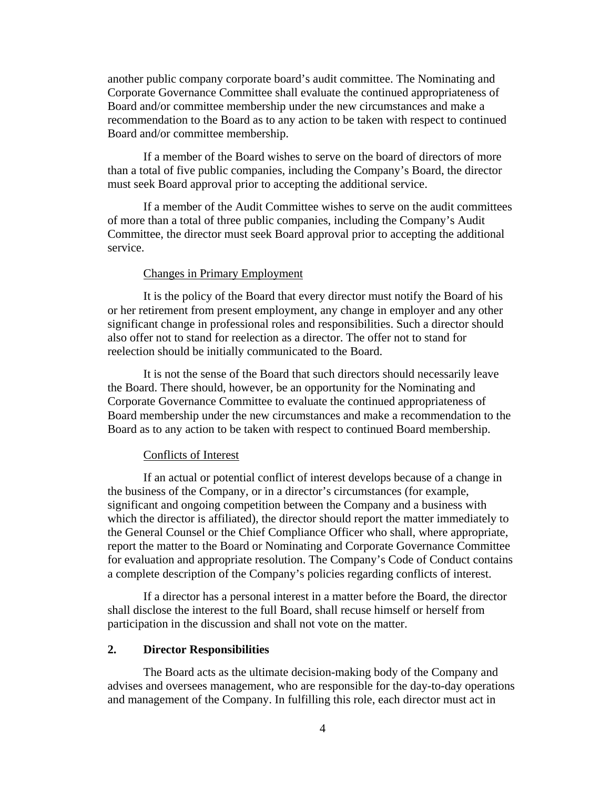another public company corporate board's audit committee. The Nominating and Corporate Governance Committee shall evaluate the continued appropriateness of Board and/or committee membership under the new circumstances and make a recommendation to the Board as to any action to be taken with respect to continued Board and/or committee membership.

If a member of the Board wishes to serve on the board of directors of more than a total of five public companies, including the Company's Board, the director must seek Board approval prior to accepting the additional service.

If a member of the Audit Committee wishes to serve on the audit committees of more than a total of three public companies, including the Company's Audit Committee, the director must seek Board approval prior to accepting the additional service.

### Changes in Primary Employment

It is the policy of the Board that every director must notify the Board of his or her retirement from present employment, any change in employer and any other significant change in professional roles and responsibilities. Such a director should also offer not to stand for reelection as a director. The offer not to stand for reelection should be initially communicated to the Board.

It is not the sense of the Board that such directors should necessarily leave the Board. There should, however, be an opportunity for the Nominating and Corporate Governance Committee to evaluate the continued appropriateness of Board membership under the new circumstances and make a recommendation to the Board as to any action to be taken with respect to continued Board membership.

### Conflicts of Interest

If an actual or potential conflict of interest develops because of a change in the business of the Company, or in a director's circumstances (for example, significant and ongoing competition between the Company and a business with which the director is affiliated), the director should report the matter immediately to the General Counsel or the Chief Compliance Officer who shall, where appropriate, report the matter to the Board or Nominating and Corporate Governance Committee for evaluation and appropriate resolution. The Company's Code of Conduct contains a complete description of the Company's policies regarding conflicts of interest.

If a director has a personal interest in a matter before the Board, the director shall disclose the interest to the full Board, shall recuse himself or herself from participation in the discussion and shall not vote on the matter.

### **2. Director Responsibilities**

The Board acts as the ultimate decision-making body of the Company and advises and oversees management, who are responsible for the day-to-day operations and management of the Company. In fulfilling this role, each director must act in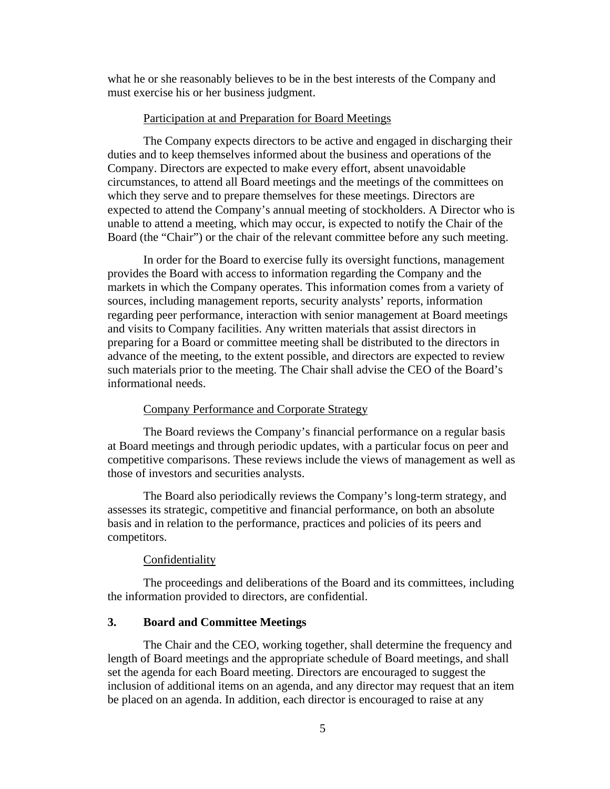what he or she reasonably believes to be in the best interests of the Company and must exercise his or her business judgment.

#### Participation at and Preparation for Board Meetings

The Company expects directors to be active and engaged in discharging their duties and to keep themselves informed about the business and operations of the Company. Directors are expected to make every effort, absent unavoidable circumstances, to attend all Board meetings and the meetings of the committees on which they serve and to prepare themselves for these meetings. Directors are expected to attend the Company's annual meeting of stockholders. A Director who is unable to attend a meeting, which may occur, is expected to notify the Chair of the Board (the "Chair") or the chair of the relevant committee before any such meeting.

In order for the Board to exercise fully its oversight functions, management provides the Board with access to information regarding the Company and the markets in which the Company operates. This information comes from a variety of sources, including management reports, security analysts' reports, information regarding peer performance, interaction with senior management at Board meetings and visits to Company facilities. Any written materials that assist directors in preparing for a Board or committee meeting shall be distributed to the directors in advance of the meeting, to the extent possible, and directors are expected to review such materials prior to the meeting. The Chair shall advise the CEO of the Board's informational needs.

#### Company Performance and Corporate Strategy

The Board reviews the Company's financial performance on a regular basis at Board meetings and through periodic updates, with a particular focus on peer and competitive comparisons. These reviews include the views of management as well as those of investors and securities analysts.

The Board also periodically reviews the Company's long-term strategy, and assesses its strategic, competitive and financial performance, on both an absolute basis and in relation to the performance, practices and policies of its peers and competitors.

### Confidentiality

The proceedings and deliberations of the Board and its committees, including the information provided to directors, are confidential.

## **3. Board and Committee Meetings**

The Chair and the CEO, working together, shall determine the frequency and length of Board meetings and the appropriate schedule of Board meetings, and shall set the agenda for each Board meeting. Directors are encouraged to suggest the inclusion of additional items on an agenda, and any director may request that an item be placed on an agenda. In addition, each director is encouraged to raise at any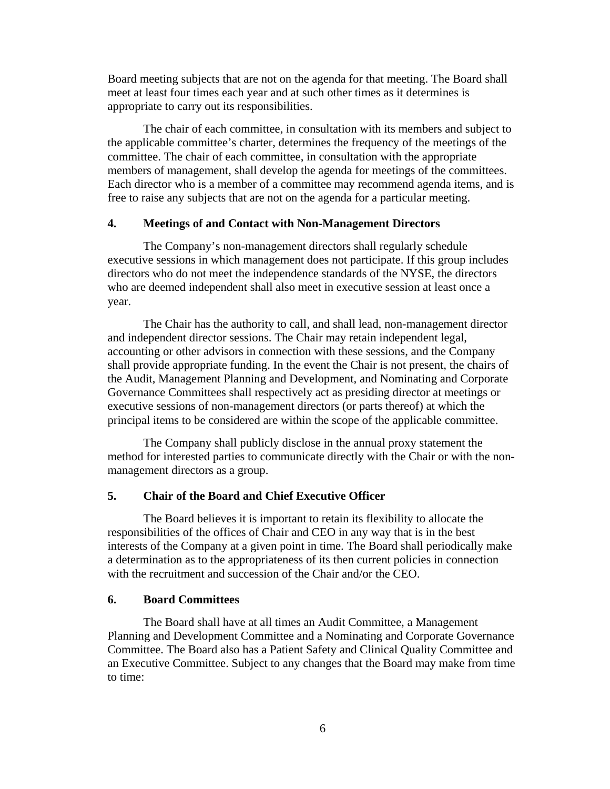Board meeting subjects that are not on the agenda for that meeting. The Board shall meet at least four times each year and at such other times as it determines is appropriate to carry out its responsibilities.

The chair of each committee, in consultation with its members and subject to the applicable committee's charter, determines the frequency of the meetings of the committee. The chair of each committee, in consultation with the appropriate members of management, shall develop the agenda for meetings of the committees. Each director who is a member of a committee may recommend agenda items, and is free to raise any subjects that are not on the agenda for a particular meeting.

### **4. Meetings of and Contact with Non-Management Directors**

The Company's non-management directors shall regularly schedule executive sessions in which management does not participate. If this group includes directors who do not meet the independence standards of the NYSE, the directors who are deemed independent shall also meet in executive session at least once a year.

The Chair has the authority to call, and shall lead, non-management director and independent director sessions. The Chair may retain independent legal, accounting or other advisors in connection with these sessions, and the Company shall provide appropriate funding. In the event the Chair is not present, the chairs of the Audit, Management Planning and Development, and Nominating and Corporate Governance Committees shall respectively act as presiding director at meetings or executive sessions of non-management directors (or parts thereof) at which the principal items to be considered are within the scope of the applicable committee.

The Company shall publicly disclose in the annual proxy statement the method for interested parties to communicate directly with the Chair or with the nonmanagement directors as a group.

### **5. Chair of the Board and Chief Executive Officer**

The Board believes it is important to retain its flexibility to allocate the responsibilities of the offices of Chair and CEO in any way that is in the best interests of the Company at a given point in time. The Board shall periodically make a determination as to the appropriateness of its then current policies in connection with the recruitment and succession of the Chair and/or the CEO.

# **6. Board Committees**

The Board shall have at all times an Audit Committee, a Management Planning and Development Committee and a Nominating and Corporate Governance Committee. The Board also has a Patient Safety and Clinical Quality Committee and an Executive Committee. Subject to any changes that the Board may make from time to time: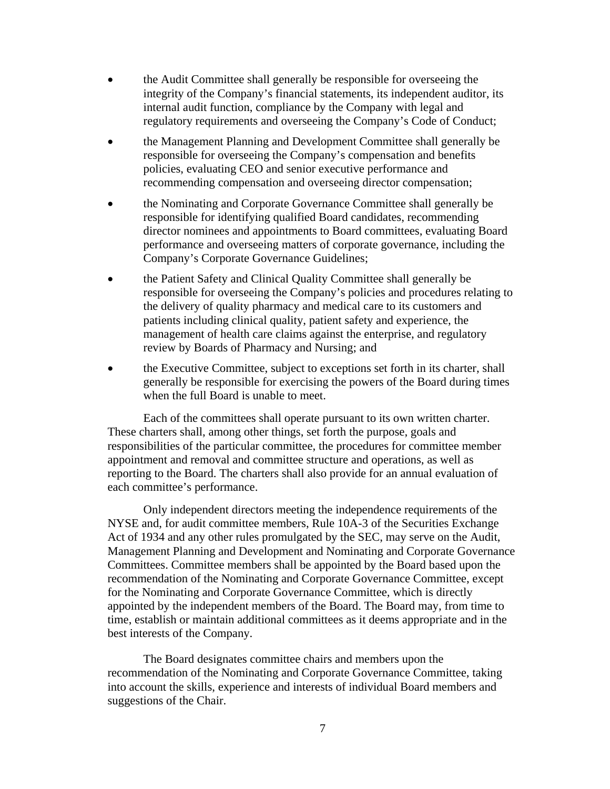- the Audit Committee shall generally be responsible for overseeing the integrity of the Company's financial statements, its independent auditor, its internal audit function, compliance by the Company with legal and regulatory requirements and overseeing the Company's Code of Conduct;
- the Management Planning and Development Committee shall generally be responsible for overseeing the Company's compensation and benefits policies, evaluating CEO and senior executive performance and recommending compensation and overseeing director compensation;
- the Nominating and Corporate Governance Committee shall generally be responsible for identifying qualified Board candidates, recommending director nominees and appointments to Board committees, evaluating Board performance and overseeing matters of corporate governance, including the Company's Corporate Governance Guidelines;
- the Patient Safety and Clinical Quality Committee shall generally be responsible for overseeing the Company's policies and procedures relating to the delivery of quality pharmacy and medical care to its customers and patients including clinical quality, patient safety and experience, the management of health care claims against the enterprise, and regulatory review by Boards of Pharmacy and Nursing; and
- the Executive Committee, subject to exceptions set forth in its charter, shall generally be responsible for exercising the powers of the Board during times when the full Board is unable to meet.

Each of the committees shall operate pursuant to its own written charter. These charters shall, among other things, set forth the purpose, goals and responsibilities of the particular committee, the procedures for committee member appointment and removal and committee structure and operations, as well as reporting to the Board. The charters shall also provide for an annual evaluation of each committee's performance.

Only independent directors meeting the independence requirements of the NYSE and, for audit committee members, Rule 10A-3 of the Securities Exchange Act of 1934 and any other rules promulgated by the SEC, may serve on the Audit, Management Planning and Development and Nominating and Corporate Governance Committees. Committee members shall be appointed by the Board based upon the recommendation of the Nominating and Corporate Governance Committee, except for the Nominating and Corporate Governance Committee, which is directly appointed by the independent members of the Board. The Board may, from time to time, establish or maintain additional committees as it deems appropriate and in the best interests of the Company.

The Board designates committee chairs and members upon the recommendation of the Nominating and Corporate Governance Committee, taking into account the skills, experience and interests of individual Board members and suggestions of the Chair.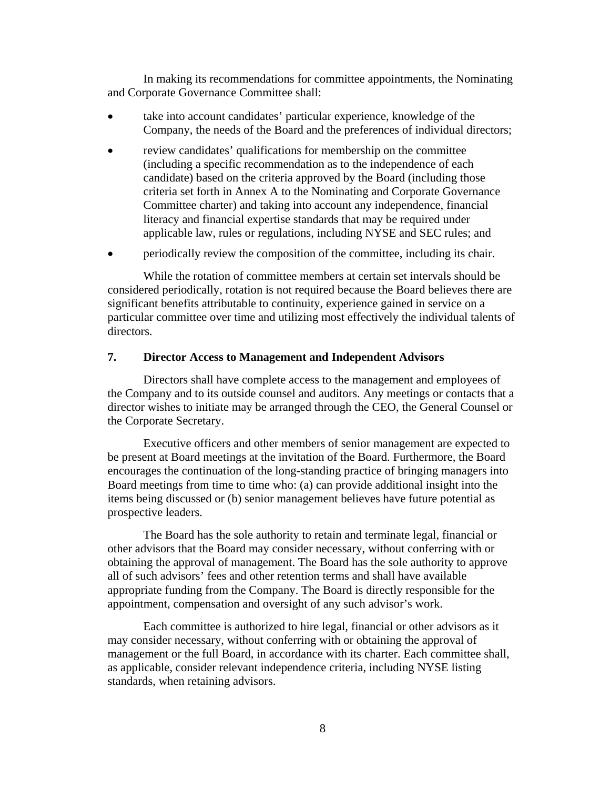In making its recommendations for committee appointments, the Nominating and Corporate Governance Committee shall:

- take into account candidates' particular experience, knowledge of the Company, the needs of the Board and the preferences of individual directors;
- review candidates' qualifications for membership on the committee (including a specific recommendation as to the independence of each candidate) based on the criteria approved by the Board (including those criteria set forth in Annex A to the Nominating and Corporate Governance Committee charter) and taking into account any independence, financial literacy and financial expertise standards that may be required under applicable law, rules or regulations, including NYSE and SEC rules; and
- periodically review the composition of the committee, including its chair.

While the rotation of committee members at certain set intervals should be considered periodically, rotation is not required because the Board believes there are significant benefits attributable to continuity, experience gained in service on a particular committee over time and utilizing most effectively the individual talents of directors.

# **7. Director Access to Management and Independent Advisors**

Directors shall have complete access to the management and employees of the Company and to its outside counsel and auditors. Any meetings or contacts that a director wishes to initiate may be arranged through the CEO, the General Counsel or the Corporate Secretary.

Executive officers and other members of senior management are expected to be present at Board meetings at the invitation of the Board. Furthermore, the Board encourages the continuation of the long-standing practice of bringing managers into Board meetings from time to time who: (a) can provide additional insight into the items being discussed or (b) senior management believes have future potential as prospective leaders.

The Board has the sole authority to retain and terminate legal, financial or other advisors that the Board may consider necessary, without conferring with or obtaining the approval of management. The Board has the sole authority to approve all of such advisors' fees and other retention terms and shall have available appropriate funding from the Company. The Board is directly responsible for the appointment, compensation and oversight of any such advisor's work.

Each committee is authorized to hire legal, financial or other advisors as it may consider necessary, without conferring with or obtaining the approval of management or the full Board, in accordance with its charter. Each committee shall, as applicable, consider relevant independence criteria, including NYSE listing standards, when retaining advisors.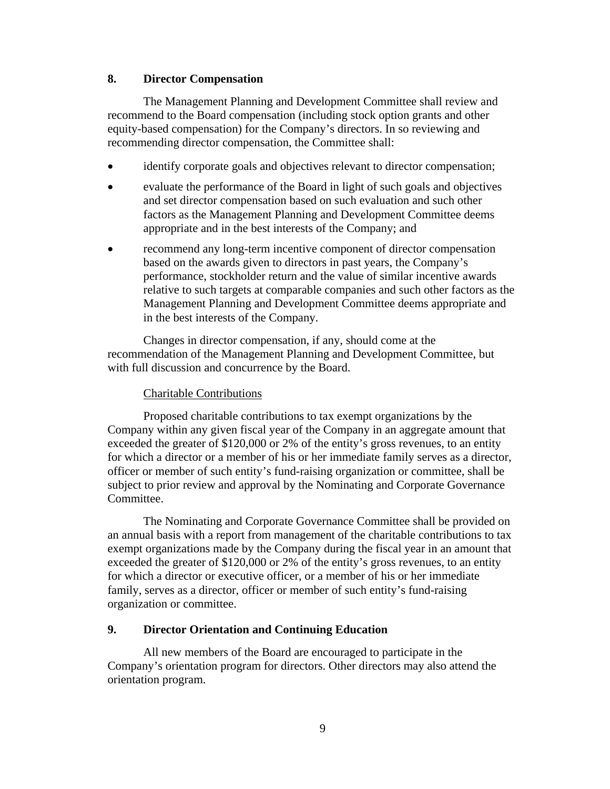## **8. Director Compensation**

The Management Planning and Development Committee shall review and recommend to the Board compensation (including stock option grants and other equity-based compensation) for the Company's directors. In so reviewing and recommending director compensation, the Committee shall:

- identify corporate goals and objectives relevant to director compensation;
- evaluate the performance of the Board in light of such goals and objectives and set director compensation based on such evaluation and such other factors as the Management Planning and Development Committee deems appropriate and in the best interests of the Company; and
- recommend any long-term incentive component of director compensation based on the awards given to directors in past years, the Company's performance, stockholder return and the value of similar incentive awards relative to such targets at comparable companies and such other factors as the Management Planning and Development Committee deems appropriate and in the best interests of the Company.

Changes in director compensation, if any, should come at the recommendation of the Management Planning and Development Committee, but with full discussion and concurrence by the Board.

# Charitable Contributions

Proposed charitable contributions to tax exempt organizations by the Company within any given fiscal year of the Company in an aggregate amount that exceeded the greater of \$120,000 or 2% of the entity's gross revenues, to an entity for which a director or a member of his or her immediate family serves as a director, officer or member of such entity's fund-raising organization or committee, shall be subject to prior review and approval by the Nominating and Corporate Governance Committee.

The Nominating and Corporate Governance Committee shall be provided on an annual basis with a report from management of the charitable contributions to tax exempt organizations made by the Company during the fiscal year in an amount that exceeded the greater of \$120,000 or 2% of the entity's gross revenues, to an entity for which a director or executive officer, or a member of his or her immediate family, serves as a director, officer or member of such entity's fund-raising organization or committee.

# **9. Director Orientation and Continuing Education**

All new members of the Board are encouraged to participate in the Company's orientation program for directors. Other directors may also attend the orientation program.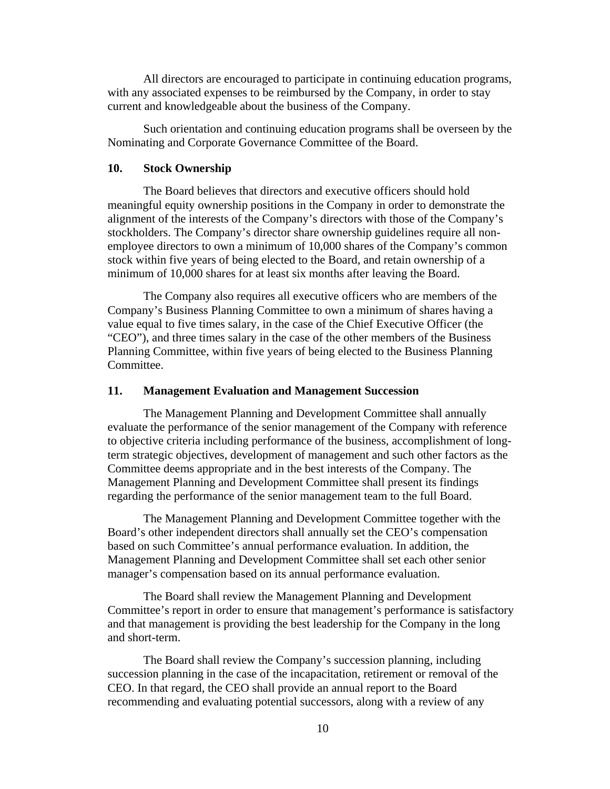All directors are encouraged to participate in continuing education programs, with any associated expenses to be reimbursed by the Company, in order to stay current and knowledgeable about the business of the Company.

Such orientation and continuing education programs shall be overseen by the Nominating and Corporate Governance Committee of the Board.

#### **10. Stock Ownership**

The Board believes that directors and executive officers should hold meaningful equity ownership positions in the Company in order to demonstrate the alignment of the interests of the Company's directors with those of the Company's stockholders. The Company's director share ownership guidelines require all nonemployee directors to own a minimum of 10,000 shares of the Company's common stock within five years of being elected to the Board, and retain ownership of a minimum of 10,000 shares for at least six months after leaving the Board.

The Company also requires all executive officers who are members of the Company's Business Planning Committee to own a minimum of shares having a value equal to five times salary, in the case of the Chief Executive Officer (the "CEO"), and three times salary in the case of the other members of the Business Planning Committee, within five years of being elected to the Business Planning Committee.

#### **11. Management Evaluation and Management Succession**

The Management Planning and Development Committee shall annually evaluate the performance of the senior management of the Company with reference to objective criteria including performance of the business, accomplishment of longterm strategic objectives, development of management and such other factors as the Committee deems appropriate and in the best interests of the Company. The Management Planning and Development Committee shall present its findings regarding the performance of the senior management team to the full Board.

The Management Planning and Development Committee together with the Board's other independent directors shall annually set the CEO's compensation based on such Committee's annual performance evaluation. In addition, the Management Planning and Development Committee shall set each other senior manager's compensation based on its annual performance evaluation.

The Board shall review the Management Planning and Development Committee's report in order to ensure that management's performance is satisfactory and that management is providing the best leadership for the Company in the long and short-term.

The Board shall review the Company's succession planning, including succession planning in the case of the incapacitation, retirement or removal of the CEO. In that regard, the CEO shall provide an annual report to the Board recommending and evaluating potential successors, along with a review of any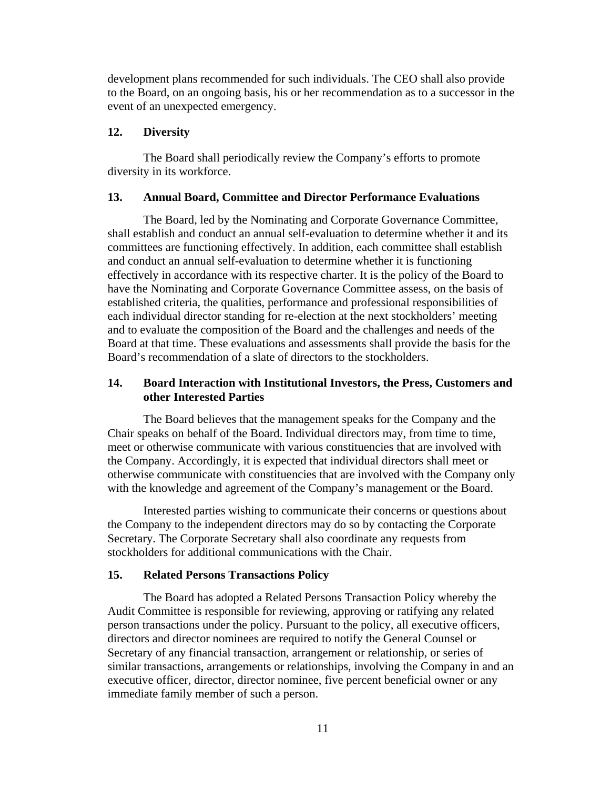development plans recommended for such individuals. The CEO shall also provide to the Board, on an ongoing basis, his or her recommendation as to a successor in the event of an unexpected emergency.

### **12. Diversity**

The Board shall periodically review the Company's efforts to promote diversity in its workforce.

### **13. Annual Board, Committee and Director Performance Evaluations**

The Board, led by the Nominating and Corporate Governance Committee, shall establish and conduct an annual self-evaluation to determine whether it and its committees are functioning effectively. In addition, each committee shall establish and conduct an annual self-evaluation to determine whether it is functioning effectively in accordance with its respective charter. It is the policy of the Board to have the Nominating and Corporate Governance Committee assess, on the basis of established criteria, the qualities, performance and professional responsibilities of each individual director standing for re-election at the next stockholders' meeting and to evaluate the composition of the Board and the challenges and needs of the Board at that time. These evaluations and assessments shall provide the basis for the Board's recommendation of a slate of directors to the stockholders.

# **14. Board Interaction with Institutional Investors, the Press, Customers and other Interested Parties**

The Board believes that the management speaks for the Company and the Chair speaks on behalf of the Board. Individual directors may, from time to time, meet or otherwise communicate with various constituencies that are involved with the Company. Accordingly, it is expected that individual directors shall meet or otherwise communicate with constituencies that are involved with the Company only with the knowledge and agreement of the Company's management or the Board.

Interested parties wishing to communicate their concerns or questions about the Company to the independent directors may do so by contacting the Corporate Secretary. The Corporate Secretary shall also coordinate any requests from stockholders for additional communications with the Chair.

### **15. Related Persons Transactions Policy**

The Board has adopted a Related Persons Transaction Policy whereby the Audit Committee is responsible for reviewing, approving or ratifying any related person transactions under the policy. Pursuant to the policy, all executive officers, directors and director nominees are required to notify the General Counsel or Secretary of any financial transaction, arrangement or relationship, or series of similar transactions, arrangements or relationships, involving the Company in and an executive officer, director, director nominee, five percent beneficial owner or any immediate family member of such a person.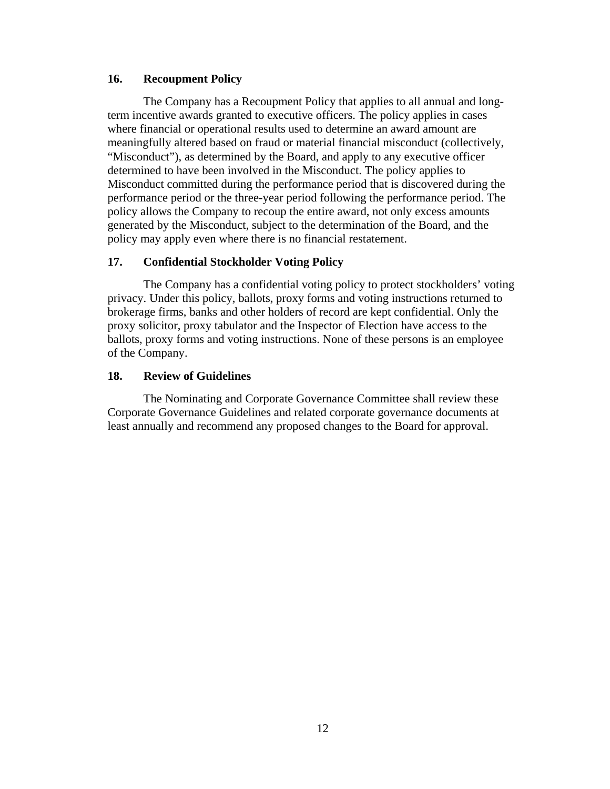# **16. Recoupment Policy**

The Company has a Recoupment Policy that applies to all annual and longterm incentive awards granted to executive officers. The policy applies in cases where financial or operational results used to determine an award amount are meaningfully altered based on fraud or material financial misconduct (collectively, "Misconduct"), as determined by the Board, and apply to any executive officer determined to have been involved in the Misconduct. The policy applies to Misconduct committed during the performance period that is discovered during the performance period or the three-year period following the performance period. The policy allows the Company to recoup the entire award, not only excess amounts generated by the Misconduct, subject to the determination of the Board, and the policy may apply even where there is no financial restatement.

# **17. Confidential Stockholder Voting Policy**

The Company has a confidential voting policy to protect stockholders' voting privacy. Under this policy, ballots, proxy forms and voting instructions returned to brokerage firms, banks and other holders of record are kept confidential. Only the proxy solicitor, proxy tabulator and the Inspector of Election have access to the ballots, proxy forms and voting instructions. None of these persons is an employee of the Company.

# **18. Review of Guidelines**

 The Nominating and Corporate Governance Committee shall review these Corporate Governance Guidelines and related corporate governance documents at least annually and recommend any proposed changes to the Board for approval.